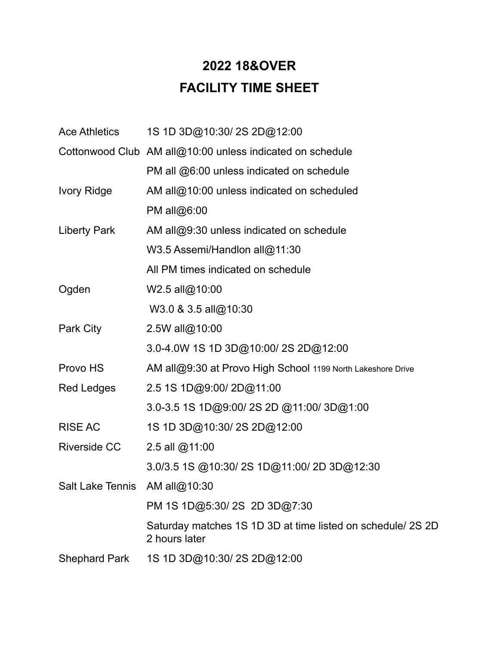## **2022 18&OVER FACILITY TIME SHEET**

| 1S 1D 3D@10:30/2S 2D@12:00<br><b>Ace Athletics</b>                           |
|------------------------------------------------------------------------------|
| Cottonwood Club AM all@10:00 unless indicated on schedule                    |
| PM all @6:00 unless indicated on schedule                                    |
| AM all@10:00 unless indicated on scheduled                                   |
| PM all@6:00                                                                  |
| AM all@9:30 unless indicated on schedule                                     |
| W3.5 Assemi/Handlon all@11:30                                                |
| All PM times indicated on schedule                                           |
| W2.5 all@10:00                                                               |
| W3.0 & 3.5 all@10:30                                                         |
| 2.5W all@10:00                                                               |
| 3.0-4.0W 1S 1D 3D@10:00/2S 2D@12:00                                          |
| AM all@9:30 at Provo High School 1199 North Lakeshore Drive                  |
| 2.5 1S 1D@9:00/2D@11:00                                                      |
| 3.0-3.5 1S 1D@9:00/2S 2D @11:00/3D@1:00                                      |
| 1S 1D 3D@10:30/2S 2D@12:00                                                   |
| 2.5 all @11:00                                                               |
| 3.0/3.5 1S @10:30/2S 1D@11:00/2D 3D@12:30                                    |
| Salt Lake Tennis<br>AM all@10:30                                             |
| PM 1S 1D@5:30/2S 2D 3D@7:30                                                  |
| Saturday matches 1S 1D 3D at time listed on schedule/ 2S 2D<br>2 hours later |
| 1S 1D 3D@10:30/2S 2D@12:00                                                   |
|                                                                              |